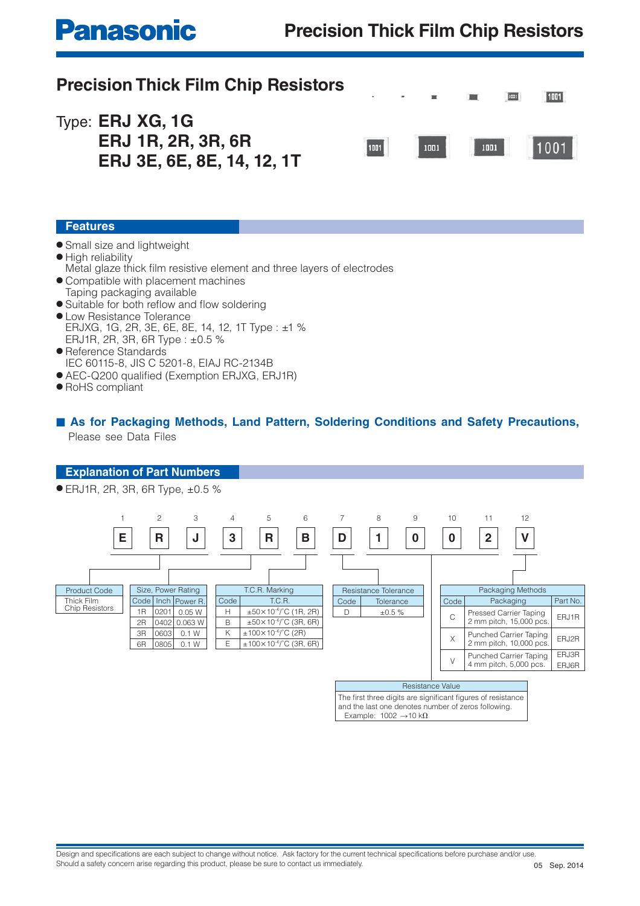# **Panasonic**

## **Precision Thick Film Chip Resistors**

| <b>Precision Thick Film Chip Resistors</b>                                  |      |                   | 1001 | 1001 |
|-----------------------------------------------------------------------------|------|-------------------|------|------|
| Type: <b>ERJ XG, 1G</b><br>ERJ 1R, 2R, 3R, 6R<br>ERJ 3E, 6E, 8E, 14, 12, 1T | 1001 | 1001         1001 |      | 1001 |

### **Features**

- Small size and lightweight
- High reliability
- Metal glaze thick film resistive element and three layers of electrodes
- Compatible with placement machines Taping packaging available
- $\bullet$  Suitable for both reflow and flow soldering
- Low Resistance Tolerance ERJXG, 1G, 2R, 3E, 6E, 8E, 14, 12, 1T Type : ±1 % ERJ1R, 2R, 3R, 6R Type : ±0.5 %
- Reference Standards IEC 60115-8, JIS C 5201-8, EIAJ RC-2134B
- AEC-Q200 qualified (Exemption ERJXG, ERJ1R)
- RoHS compliant

### ■ As for Packaging Methods, Land Pattern, Soldering Conditions and Safety Precautions, Please see Data Files

#### **Explanation of Part Numbers**

● ERJ1R, 2R, 3R, 6R Type, ±0.5 %



Resistance Value

The first three digits are significant figures of resistance and the last one denotes number of zeros following. Example:  $1002 \rightarrow 10 k\Omega$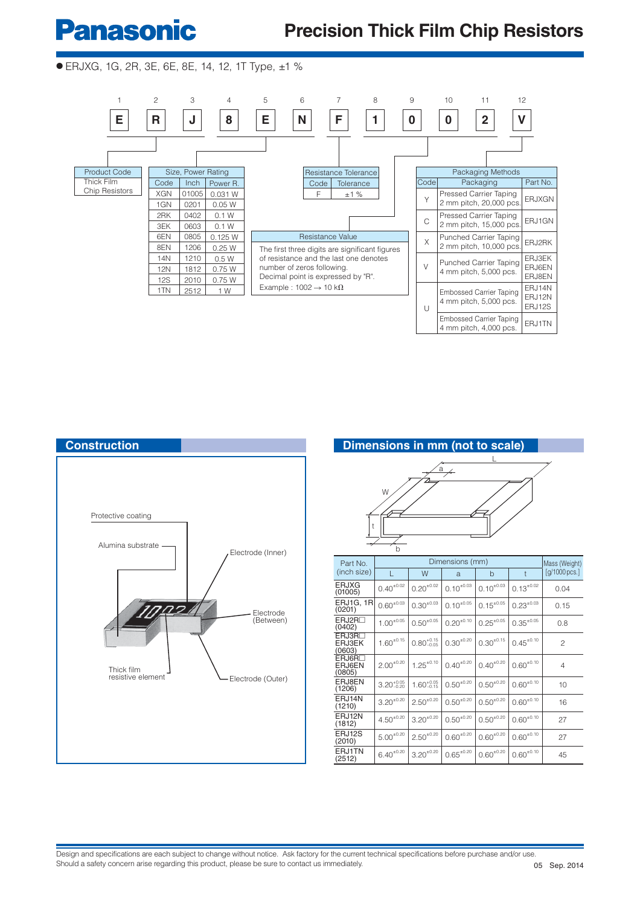# **Panasonic**

## **Precision Thick Film Chip Resistors**

### ● ERJXG, 1G, 2R, 3E, 6E, 8E, 14, 12, 1T Type, ±1 %







| Part No.                               |                        | Mass (Weight)          |                  |                  |                  |                        |  |
|----------------------------------------|------------------------|------------------------|------------------|------------------|------------------|------------------------|--|
| (inch size)                            |                        | W                      | a                | b                | $\ddagger$       | $[g/1000 \text{pcs.}]$ |  |
| <b>ERJXG</b><br>(01005)                | $0.40^{\pm0.02}$       | $0.20^{+0.02}$         | $0.10^{+0.03}$   | $0.10^{\pm0.03}$ | $0.13^{\pm0.02}$ | 0.04                   |  |
| ERJ1G, 1R<br>(0201)                    | $0.60^{\pm0.03}$       | $0.30^{\pm0.03}$       | $0.10^{+0.05}$   | $0.15^{\pm0.05}$ | $0.23^{\pm0.03}$ | 0.15                   |  |
| ERJ2R <sub>2</sub><br>(0402)           | $1.00^{\pm0.05}$       | $0.50^{\pm0.05}$       | $0.20^{\pm0.10}$ | $0.25^{\pm0.05}$ | $0.35^{\pm0.05}$ | 0.8                    |  |
| ERJ3R <sub>D</sub><br>ERJ3EK<br>(0603) | $1.60^{\pm0.15}$       | $0.80^{+0.15}_{-0.05}$ | $0.30^{\pm0.20}$ | $0.30^{\pm0.15}$ | $0.45^{\pm0.10}$ | 2                      |  |
| ERJ6R <sub>D</sub><br>ERJ6EN<br>(0805) | $2.00^{+0.20}$         | $1.25^{\pm0.10}$       | $0.40^{\pm0.20}$ | $0.40^{\pm0.20}$ | $0.60^{\pm0.10}$ | 4                      |  |
| ERJ8EN<br>(1206)                       | $3.20^{+0.05}_{-0.20}$ | $1.60^{+0.05}_{-0.15}$ | $0.50^{\pm0.20}$ | $0.50^{\pm0.20}$ | $0.60^{\pm0.10}$ | 10                     |  |
| ERJ14N<br>(1210)                       | $3.20^{+0.20}$         | $2.50^{+0.20}$         | $0.50^{*0.20}$   | $0.50^{+0.20}$   | $0.60^{+0.10}$   | 16                     |  |
| ERJ12N<br>(1812)                       | $4.50^{\pm0.20}$       | $3.20^{+0.20}$         | $0.50^{\pm0.20}$ | $0.50^{\pm0.20}$ | $0.60^{\pm0.10}$ | 27                     |  |
| ERJ12S<br>(2010)                       | $5.00^{\pm0.20}$       | $2.50^{\pm 0.20}$      | $0.60^{\pm0.20}$ | $0.60^{\pm0.20}$ | $0.60^{\pm0.10}$ | 27                     |  |
| ERJ1TN<br>(2512)                       | $6.40^{\pm0.20}$       | $3.20^{+0.20}$         | $0.65^{\pm0.20}$ | $0.60^{\pm0.20}$ | $0.60^{\pm0.10}$ | 45                     |  |

Design and specifications are each subject to change without notice. Ask factory for the current technical specifications before purchase and/or use. Should a safety concern arise regarding this product, please be sure to contact us immediately.